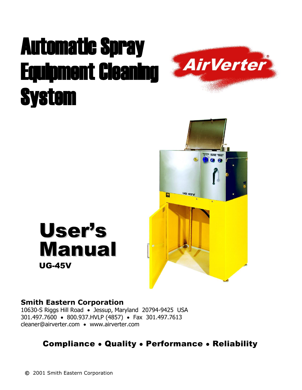# Automatic Spray Equipment Cleaning **System**





# User's Manual UG-45V

#### **Smith Eastern Corporation**

10630-S Riggs Hill Road • Jessup, Maryland 20794-9425 USA 301.497.7600 • 800.937.HVLP (4857) • Fax 301.497.7613 cleaner@airverter.com • www.airverter.com

#### Compliance • Quality • Performance • Reliability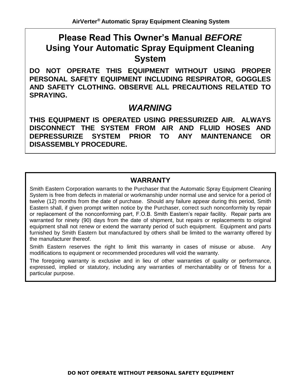# **Please Read This Owner's Manual** *BEFORE* **Using Your Automatic Spray Equipment Cleaning System**

**DO NOT OPERATE THIS EQUIPMENT WITHOUT USING PROPER PERSONAL SAFETY EQUIPMENT INCLUDING RESPIRATOR, GOGGLES AND SAFETY CLOTHING. OBSERVE ALL PRECAUTIONS RELATED TO SPRAYING.**

#### *WARNING*

**THIS EQUIPMENT IS OPERATED USING PRESSURIZED AIR. ALWAYS DISCONNECT THE SYSTEM FROM AIR AND FLUID HOSES AND DEPRESSURIZE SYSTEM PRIOR TO ANY MAINTENANCE OR DISASSEMBLY PROCEDURE.**

#### **WARRANTY**

Smith Eastern Corporation warrants to the Purchaser that the Automatic Spray Equipment Cleaning System is free from defects in material or workmanship under normal use and service for a period of twelve (12) months from the date of purchase. Should any failure appear during this period, Smith Eastern shall, if given prompt written notice by the Purchaser, correct such nonconformity by repair or replacement of the nonconforming part, F.O.B. Smith Eastern's repair facility. Repair parts are warranted for ninety (90) days from the date of shipment, but repairs or replacements to original equipment shall not renew or extend the warranty period of such equipment. Equipment and parts furnished by Smith Eastern but manufactured by others shall be limited to the warranty offered by the manufacturer thereof.

Smith Eastern reserves the right to limit this warranty in cases of misuse or abuse. Any modifications to equipment or recommended procedures will void the warranty.

The foregoing warranty is exclusive and in lieu of other warranties of quality or performance, expressed, implied or statutory, including any warranties of merchantability or of fitness for a particular purpose.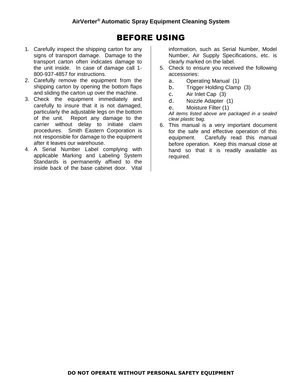#### BEFORE USING

- 1. Carefully inspect the shipping carton for any signs of transport damage. Damage to the transport carton often indicates damage to the unit inside. In case of damage call 1- 800-937-4857 for instructions.
- 2. Carefully remove the equipment from the shipping carton by opening the bottom flaps and sliding the carton up over the machine.
- 3. Check the equipment immediately and carefully to insure that it is not damaged, particularly the adjustable legs on the bottom of the unit. Report any damage to the carrier without delay to initiate claim procedures. Smith Eastern Corporation is not responsible for damage to the equipment after it leaves our warehouse.
- 4. A Serial Number Label complying with applicable Marking and Labeling System Standards is permanently affixed to the inside back of the base cabinet door. Vital

information, such as Serial Number, Model Number, Air Supply Specifications, etc. is clearly marked on the label.

- 5. Check to ensure you received the following accessories:
	- a. Operating Manual (1)
	- b. Trigger Holding Clamp (3)
	- c. Air Inlet Cap (3)
	- d. Nozzle Adapter (1)
	- e. Moisture Filter (1)

*All items listed above are packaged in a sealed clear plastic bag.*

6. This manual is a very important document for the safe and effective operation of this equipment. Carefully read this manual before operation. Keep this manual close at hand so that it is readily available as required.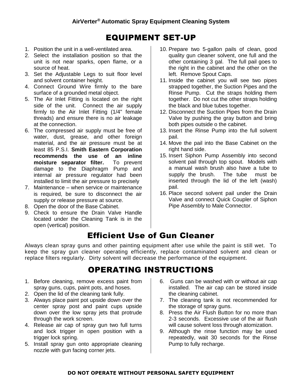#### EQUIPMENT SET-UP

- 1. Position the unit in a well-ventilated area.
- 2. Select the installation position so that the unit is not near sparks, open flame, or a source of heat.
- 3. Set the Adjustable Legs to suit floor level and solvent container height.
- 4. Connect Ground Wire firmly to the bare surface of a grounded metal object.
- 5. The Air Inlet Fitting is located on the right side of the unit. Connect the air supply firmly to the Air Inlet Fitting (1/4" female threads) and ensure there is no air leakage at the connection.
- 6. The compressed air supply must be free of water, dust, grease, and other foreign material, and the air pressure must be at least 85 P.S.I. **Smith Eastern Corporation recommends the use of an inline moisture separator filter.** To prevent damage to the Diaphragm Pump and internal air pressure regulator had been installed to limit the air pressure to precisely
- 7. Maintenance when service or maintenance is required, be sure to disconnect the air supply or release pressure at source.
- 8. Open the door of the Base Cabinet.
- 9. Check to ensure the Drain Valve Handle located under the Cleaning Tank is in the open (vertical) position.
- 10. Prepare two 5-gallon pails of clean, good quality gun cleaner solvent, one full and the other containing 3 gal. The full pail goes to the right in the cabinet and the other on the left. Remove Spout Caps.
- 11. Inside the cabinet you will see two pipes strapped together, the Suction Pipes and the Rinse Pump. Cut the straps holding them together. Do not cut the other straps holding the black and blue tubes together.
- 12. Disconnect the Suction Pipes from the Drain Valve by pushing the gray button and bring both pipes outside o the cabinet.
- 13. Insert the Rinse Pump into the full solvent pail.
- 14. Move the pail into the Base Cabinet on the right hand side.
- 15. Insert Siphon Pump Assembly into second solvent pail through top spout. Models with a manual wash brush also have a tube to supply the brush. The tube must be inserted through the lid of the left (wash) pail.
- 16. Place second solvent pail under the Drain Valve and connect Quick Coupler of Siphon Pipe Assembly to Male Connector.

# Efficient Use of Gun Cleaner

Always clean spray guns and other painting equipment after use while the paint is still wet. To keep the spray gun cleaner operating efficiently, replace contaminated solvent and clean or replace filters regularly. Dirty solvent will decrease the performance of the equipment.

# OPERATING INSTRUCTIONS

- 1. Before cleaning, remove excess paint from spray guns, cups, paint pots, and hoses.
- 2. Open the lid of the cleaning tank fully.
- 3. Always place paint pot upside down over the center spray post and paint cups upside down over the low spray jets that protrude through the work screen.
- 4. Release air cap of spray gun two full turns and lock trigger in open position with a trigger lock spring.
- 5. Install spray gun onto appropriate cleaning nozzle with gun facing corner jets.
- 6. Guns can be washed with or without air cap installed. The air cap can be stored inside the cleaning cabinet.
- 7. The cleaning tank is not recommended for the storage of spray guns.
- 8. Press the Air Flush Button for no more than 2-3 seconds. Excessive use of the air flush will cause solvent loss through atomization.
- 9. Although the rinse function may be used repeatedly, wait 30 seconds for the Rinse Pump to fully recharge.

#### **DO NOT OPERATE WITHOUT PERSONAL SAFETY EQUIPMENT**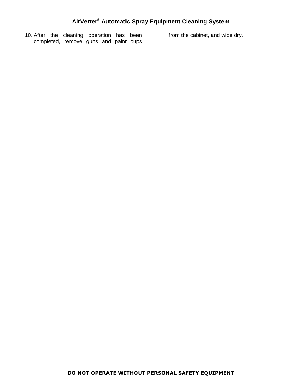$\perp$ 

10. After the cleaning operation has been completed, remove guns and paint cups

from the cabinet, and wipe dry.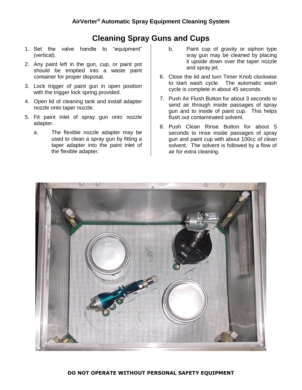#### **Cleaning Spray Guns and Cups**

- 1. Set the valve handle to "equipment" (vertical).
- 2. Any paint left in the gun, cup, or paint pot should be emptied into a waste paint container for proper disposal.
- 3. Lock trigger of paint gun in open position with the trigger lock spring provided.
- 4. Open lid of cleaning tank and install adapter nozzle onto taper nozzle.
- 5. Fit paint inlet of spray gun onto nozzle adapter.
	- a. The flexible nozzle adapter may be used to clean a spray gun by fitting a taper adapter into the paint inlet of the flexible adapter.
- b. Paint cup of gravity or siphon type sray gun may be cleaned by placing it upside down over the taper nozzle and spray jet.
- 6. Close the lid and turn Timer Knob clockwise to start wash cycle. The automatic wash cycle is complete in about 45 seconds.
- 7. Push Air Flush Button for about 3 seconds to send air through inside passages of spray gun and to inside of paint cup. This helps flush out contaminated solvent.
- 8. Push Clean Rinse Button for about 5 seconds to rinse inside passages of spray gun and paint cup with about 100cc of clean solvent. The solvent is followed by a flow of air for extra cleaning.

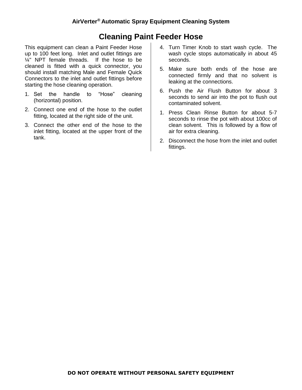#### **Cleaning Paint Feeder Hose**

This equipment can clean a Paint Feeder Hose up to 100 feet long. Inlet and outlet fittings are  $\frac{1}{4}$ " NPT female threads. If the hose to be cleaned is fitted with a quick connector, you should install matching Male and Female Quick Connectors to the inlet and outlet fittings before starting the hose cleaning operation.

- 1. Set the handle to "Hose" cleaning (horizontal) position.
- 2. Connect one end of the hose to the outlet fitting, located at the right side of the unit.
- 3. Connect the other end of the hose to the inlet fitting, located at the upper front of the tank.
- 4. Turn Timer Knob to start wash cycle. The wash cycle stops automatically in about 45 seconds.
- 5. Make sure both ends of the hose are connected firmly and that no solvent is leaking at the connections.
- 6. Push the Air Flush Button for about 3 seconds to send air into the pot to flush out contaminated solvent.
- 1. Press Clean Rinse Button for about 5-7 seconds to rinse the pot with about 100cc of clean solvent. This is followed by a flow of air for extra cleaning.
- 2. Disconnect the hose from the inlet and outlet fittings.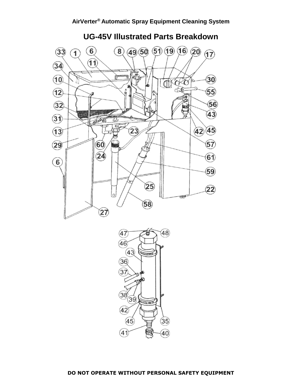

**UG-45V Illustrated Parts Breakdown**



**DO NOT OPERATE WITHOUT PERSONAL SAFETY EQUIPMENT**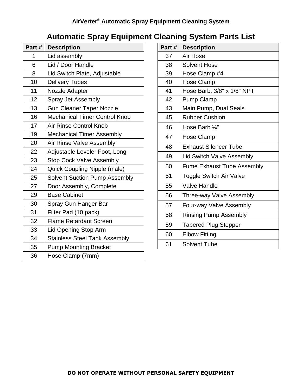#### **AirVerter® Automatic Spray Equipment Cleaning System**

# **Automatic Spray Equipment Cleaning System Parts List**

| Part# | <b>Description</b>                   |  |
|-------|--------------------------------------|--|
| 1     | Lid assembly                         |  |
| 6     | Lid / Door Handle                    |  |
| 8     | Lid Switch Plate, Adjustable         |  |
| 10    | <b>Delivery Tubes</b>                |  |
| 11    | Nozzle Adapter                       |  |
| 12    | Spray Jet Assembly                   |  |
| 13    | <b>Gun Cleaner Taper Nozzle</b>      |  |
| 16    | <b>Mechanical Timer Control Knob</b> |  |
| 17    | Air Rinse Control Knob               |  |
| 19    | <b>Mechanical Timer Assembly</b>     |  |
| 20    | <b>Air Rinse Valve Assembly</b>      |  |
| 22    | Adjustable Leveler Foot, Long        |  |
| 23    | <b>Stop Cock Valve Assembly</b>      |  |
| 24    | Quick Coupling Nipple (male)         |  |
| 25    | <b>Solvent Suction Pump Assembly</b> |  |
| 27    | Door Assembly, Complete              |  |
| 29    | <b>Base Cabinet</b>                  |  |
| 30    | Spray Gun Hanger Bar                 |  |
| 31    | Filter Pad (10 pack)                 |  |
| 32    | <b>Flame Retardant Screen</b>        |  |
| 33    | Lid Opening Stop Arm                 |  |
| 34    | <b>Stainless Steel Tank Assembly</b> |  |
| 35    | <b>Pump Mounting Bracket</b>         |  |
| 36    | Hose Clamp (7mm)                     |  |

| Part# | <b>Description</b>                |  |  |
|-------|-----------------------------------|--|--|
| 37    | Air Hose                          |  |  |
| 38    | Solvent Hose                      |  |  |
| 39    | Hose Clamp #4                     |  |  |
| 40    | <b>Hose Clamp</b>                 |  |  |
| 41    | Hose Barb, 3/8" x 1/8" NPT        |  |  |
| 42    | <b>Pump Clamp</b>                 |  |  |
| 43    | Main Pump, Dual Seals             |  |  |
| 45    | <b>Rubber Cushion</b>             |  |  |
| 46    | Hose Barb 1/4"                    |  |  |
| 47    | Hose Clamp                        |  |  |
| 48    | <b>Exhaust Silencer Tube</b>      |  |  |
| 49    | <b>Lid Switch Valve Assembly</b>  |  |  |
| 50    | <b>Fume Exhaust Tube Assembly</b> |  |  |
| 51    | <b>Toggle Switch Air Valve</b>    |  |  |
| 55    | <b>Valve Handle</b>               |  |  |
| 56    | Three-way Valve Assembly          |  |  |
| 57    | Four-way Valve Assembly           |  |  |
| 58    | <b>Rinsing Pump Assembly</b>      |  |  |
| 59    | <b>Tapered Plug Stopper</b>       |  |  |
| 60    | <b>Elbow Fitting</b>              |  |  |
| 61    | <b>Solvent Tube</b>               |  |  |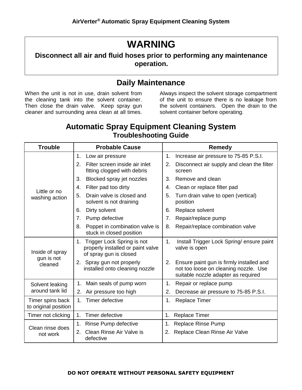# **WARNING**

#### **Disconnect all air and fluid hoses prior to performing any maintenance operation.**

#### **Daily Maintenance**

When the unit is not in use, drain solvent from the cleaning tank into the solvent container. Then close the drain valve. Keep spray gun cleaner and surrounding area clean at all times.

Always inspect the solvent storage compartment of the unit to ensure there is no leakage from the solvent containers. Open the drain to the solvent container before operating.

#### **Automatic Spray Equipment Cleaning System Troubleshooting Guide**

| <b>Trouble</b>                           | <b>Probable Cause</b>                                                                           | <b>Remedy</b>                                                                                                                  |
|------------------------------------------|-------------------------------------------------------------------------------------------------|--------------------------------------------------------------------------------------------------------------------------------|
| Little or no<br>washing action           | 1.<br>Low air pressure                                                                          | Increase air pressure to 75-85 P.S.I.<br>1.                                                                                    |
|                                          | Filter screen inside air inlet<br>2.<br>fitting clogged with debris                             | Disconnect air supply and clean the filter<br>2.<br>screen                                                                     |
|                                          | Blocked spray jet nozzles<br>3.                                                                 | 3.<br>Remove and clean                                                                                                         |
|                                          | Filter pad too dirty<br>4.                                                                      | Clean or replace filter pad<br>4.                                                                                              |
|                                          | Drain valve is closed and<br>5.<br>solvent is not draining                                      | 5.<br>Turn drain valve to open (vertical)<br>position                                                                          |
|                                          | Dirty solvent<br>6.                                                                             | Replace solvent<br>6.                                                                                                          |
|                                          | Pump defective<br>7.                                                                            | Repair/replace pump<br>7.                                                                                                      |
|                                          | Poppet in combination valve is<br>8.<br>stuck in closed position                                | Repair/replace combination valve<br>8.                                                                                         |
| Inside of spray<br>gun is not<br>cleaned | Trigger Lock Spring is not<br>1.<br>properly installed or paint valve<br>of spray gun is closed | 1.<br>Install Trigger Lock Spring/ensure paint<br>valve is open                                                                |
|                                          | 2. Spray gun not properly<br>installed onto cleaning nozzle                                     | Ensure paint gun is firmly installed and<br>2.<br>not too loose on cleaning nozzle. Use<br>suitable nozzle adapter as required |
| Solvent leaking<br>around tank lid       | Main seals of pump worn<br>1.                                                                   | Repair or replace pump<br>1.                                                                                                   |
|                                          | Air pressure too high<br>2.                                                                     | Decrease air pressure to 75-85 P.S.I.<br>2.                                                                                    |
| Timer spins back<br>to original position | 1 <sub>1</sub><br>Timer defective                                                               | 1.<br><b>Replace Timer</b>                                                                                                     |
| Timer not clicking                       | Timer defective<br>1.                                                                           | Replace Timer<br>1.                                                                                                            |
| Clean rinse does<br>not work             | Rinse Pump defective<br>1.                                                                      | <b>Replace Rinse Pump</b><br>1.                                                                                                |
|                                          | Clean Rinse Air Valve is<br>2.<br>defective                                                     | Replace Clean Rinse Air Valve<br>2.                                                                                            |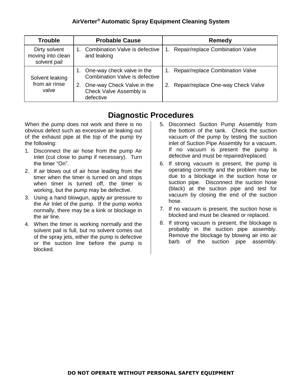#### **AirVerter® Automatic Spray Equipment Cleaning System**

| <b>Trouble</b>                                     | <b>Probable Cause</b>                                                    | <b>Remedy</b>                                      |
|----------------------------------------------------|--------------------------------------------------------------------------|----------------------------------------------------|
| Dirty solvent<br>moving into clean<br>solvent pail | <b>Combination Valve is defective</b><br>and leaking                     | Repair/replace Combination Valve<br>$\mathbf{1}$ . |
| Solvent leaking<br>from air rinse<br>valve         | One-way check valve in the<br>Combination Valve is defective             | Repair/replace Combination Valve<br>1.             |
|                                                    | One-way Check Valve in the<br>2.<br>Check Valve Assembly is<br>defective | Repair/replace One-way Check Valve                 |

#### **Diagnostic Procedures**

When the pump does not work and there is no obvious defect such as excessive air leaking out of the exhaust pipe at the top of the pump try the following:

- 1. Disconnect the air hose from the pump Air Inlet (cut close to pump if necessary). Turn the timer "On".
- 2. If air blows out of air hose leading from the timer when the timer is turned on and stops when timer is turned off, the timer is working, but the pump may be defective.
- 3. Using a hand blowgun, apply air pressure to the Air Inlet of the pump. If the pump works normally, there may be a kink or blockage in the air line.
- 4. When the timer is working normally and the solvent pail is full, but no solvent comes out of the spray jets, either the pump is defective or the suction line before the pump is blocked.
- 5. Disconnect Suction Pump Assembly from the bottom of the tank. Check the suction vacuum of the pump by testing the suction inlet of Suction Pipe Assembly for a vacuum. If no vacuum is present the pump is defective and must be repaired/replaced.
- 6. If strong vacuum is present, the pump is operating correctly and the problem may be due to a blockage in the suction hose or suction pipe. Disconnect the suction hose (black) at the suction pipe and test for vacuum by closing the end of the suction hose.
- 7. If no vacuum is present, the suction hose is blocked and must be cleaned or replaced.
- 8. If strong vacuum is present, the blockage is probably in the suction pipe assembly. Remove the blockage by blowing air into air barb of the suction pipe assembly.